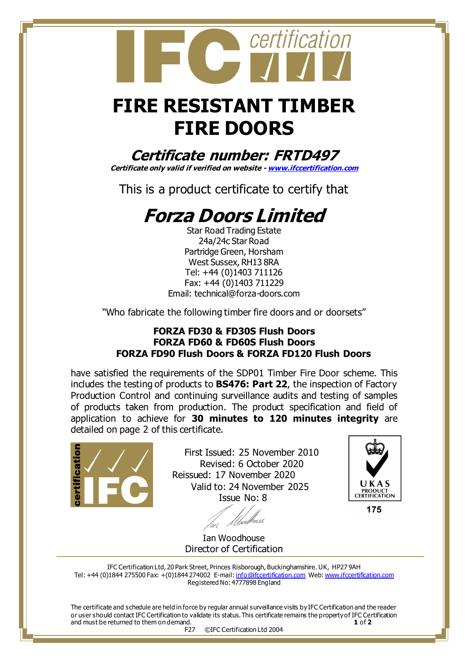## **FIRE RESISTANT TIMBER FIRE DOORS**

certification

**Certificate number: FRTD497**

**Certificate only valid if verified on website - [www.ifccertification.com](http://www.ifccertification.com/)**

This is a product certificate to certify that

## **Forza Doors Limited**

Star Road Trading Estate 24a/24c Star Road Partridge Green, Horsham West Sussex, RH13 8RA Tel: +44 (0)1403 711126 Fax: +44 (0)1403 711229 [Email: technical@forza-doors.com](mailto:Email:%20technical@forza-doors.com)

"Who fabricate the following timber fire doors and or doorsets"

## **FORZA FD30 & FD30S Flush Doors FORZA FD60 & FD60S Flush Doors FORZA FD90 Flush Doors & FORZA FD120 Flush Doors**

have satisfied the requirements of the SDP01 Timber Fire Door scheme. This includes the testing of products to **BS476: Part 22**, the inspection of Factory Production Control and continuing surveillance audits and testing of samples of products taken from production. The product specification and field of application to achieve for **30 minutes to 120 minutes integrity** are detailed on page 2 of this certificate.



 First Issued: 25 November 2010 Revised: 6 October 2020 Reissued: 17 November 2020 Valid to: 24 November 2025 Issue No: 8



175

Ian Woodhouse Director of Certification

IFC Certification Ltd, 20 Park Street, Princes Risborough, Buckinghamshire. UK, HP27 9AH Tel: +44 (0)1844 275500 Fax: +(0)1844 274002 E-mail[: info@ifccertification.com](mailto:info@ifccertification.com) Web[: www.ifccertification.com](http://www.ifccertification.com/) Registered No: 4777898 England

The certificate and schedule are held in force by regular annual surveillance visits by IFC Certification and the reader or user should contact IFC Certification to validate its status. This certificate remains the property of IFC Certification and must be returned to them on demand. **1** of **2** F27 ©IFC Certification Ltd 2004